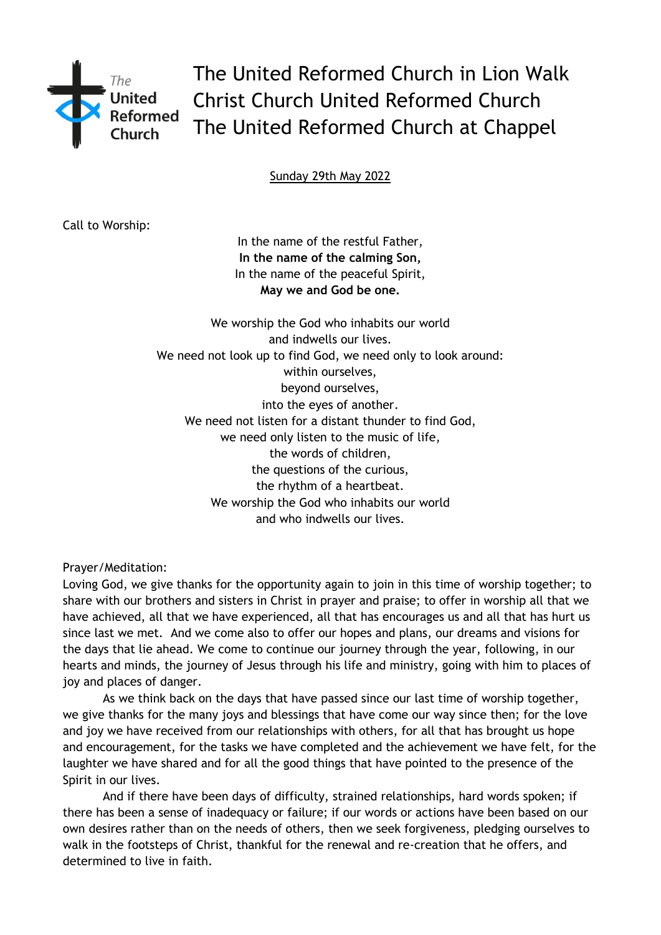

The United Reformed Church in Lion Walk Christ Church United Reformed Church The United Reformed Church at Chappel

Sunday 29th May 2022

Call to Worship:

In the name of the restful Father, **In the name of the calming Son,** In the name of the peaceful Spirit, **May we and God be one.**

We worship the God who inhabits our world and indwells our lives. We need not look up to find God, we need only to look around: within ourselves, beyond ourselves, into the eyes of another. We need not listen for a distant thunder to find God, we need only listen to the music of life, the words of children, the questions of the curious, the rhythm of a heartbeat. We worship the God who inhabits our world and who indwells our lives.

Prayer/Meditation:

Loving God, we give thanks for the opportunity again to join in this time of worship together; to share with our brothers and sisters in Christ in prayer and praise; to offer in worship all that we have achieved, all that we have experienced, all that has encourages us and all that has hurt us since last we met. And we come also to offer our hopes and plans, our dreams and visions for the days that lie ahead. We come to continue our journey through the year, following, in our hearts and minds, the journey of Jesus through his life and ministry, going with him to places of joy and places of danger.

As we think back on the days that have passed since our last time of worship together, we give thanks for the many joys and blessings that have come our way since then; for the love and joy we have received from our relationships with others, for all that has brought us hope and encouragement, for the tasks we have completed and the achievement we have felt, for the laughter we have shared and for all the good things that have pointed to the presence of the Spirit in our lives.

And if there have been days of difficulty, strained relationships, hard words spoken; if there has been a sense of inadequacy or failure; if our words or actions have been based on our own desires rather than on the needs of others, then we seek forgiveness, pledging ourselves to walk in the footsteps of Christ, thankful for the renewal and re-creation that he offers, and determined to live in faith.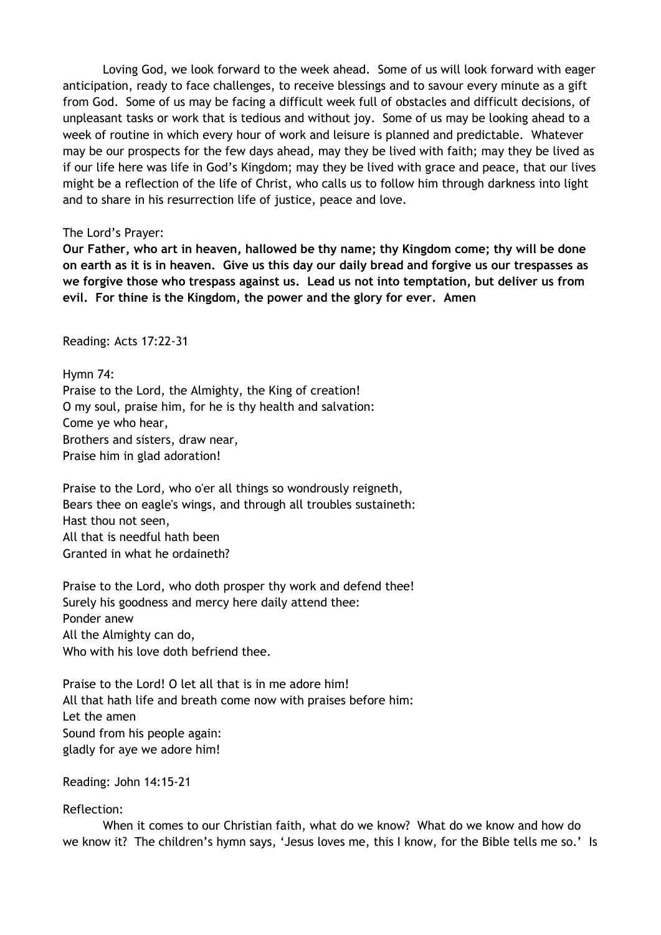Loving God, we look forward to the week ahead. Some of us will look forward with eager anticipation, ready to face challenges, to receive blessings and to savour every minute as a gift from God. Some of us may be facing a difficult week full of obstacles and difficult decisions, of unpleasant tasks or work that is tedious and without joy. Some of us may be looking ahead to a week of routine in which every hour of work and leisure is planned and predictable. Whatever may be our prospects for the few days ahead, may they be lived with faith; may they be lived as if our life here was life in God's Kingdom; may they be lived with grace and peace, that our lives might be a reflection of the life of Christ, who calls us to follow him through darkness into light and to share in his resurrection life of justice, peace and love.

## The Lord's Prayer:

**Our Father, who art in heaven, hallowed be thy name; thy Kingdom come; thy will be done on earth as it is in heaven. Give us this day our daily bread and forgive us our trespasses as we forgive those who trespass against us. Lead us not into temptation, but deliver us from evil. For thine is the Kingdom, the power and the glory for ever. Amen** 

Reading: Acts 17:22-31

Hymn 74: Praise to the Lord, the Almighty, the King of creation! O my soul, praise him, for he is thy health and salvation: Come ye who hear, Brothers and sisters, draw near, Praise him in glad adoration!

Praise to the Lord, who o'er all things so wondrously reigneth, Bears thee on eagle's wings, and through all troubles sustaineth: Hast thou not seen, All that is needful hath been Granted in what he ordaineth?

Praise to the Lord, who doth prosper thy work and defend thee! Surely his goodness and mercy here daily attend thee: Ponder anew All the Almighty can do, Who with his love doth befriend thee.

Praise to the Lord! O let all that is in me adore him! All that hath life and breath come now with praises before him: Let the amen Sound from his people again: gladly for aye we adore him!

Reading: John 14:15-21

# Reflection:

When it comes to our Christian faith, what do we know? What do we know and how do we know it? The children's hymn says, 'Jesus loves me, this I know, for the Bible tells me so.' Is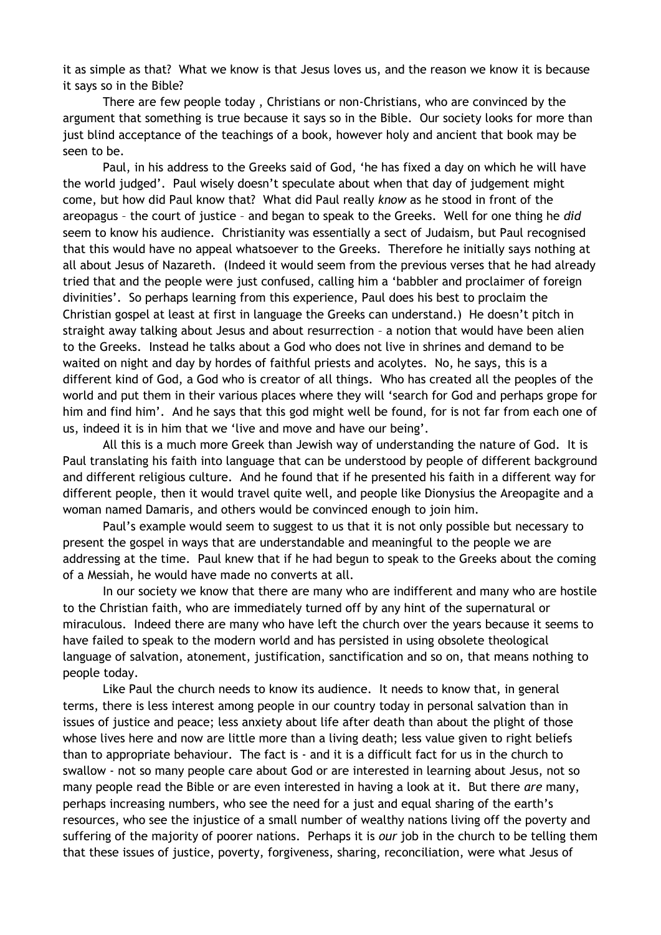it as simple as that? What we know is that Jesus loves us, and the reason we know it is because it says so in the Bible?

There are few people today , Christians or non-Christians, who are convinced by the argument that something is true because it says so in the Bible. Our society looks for more than just blind acceptance of the teachings of a book, however holy and ancient that book may be seen to be.

Paul, in his address to the Greeks said of God, 'he has fixed a day on which he will have the world judged'. Paul wisely doesn't speculate about when that day of judgement might come, but how did Paul know that? What did Paul really *know* as he stood in front of the areopagus – the court of justice – and began to speak to the Greeks. Well for one thing he *did* seem to know his audience. Christianity was essentially a sect of Judaism, but Paul recognised that this would have no appeal whatsoever to the Greeks. Therefore he initially says nothing at all about Jesus of Nazareth. (Indeed it would seem from the previous verses that he had already tried that and the people were just confused, calling him a 'babbler and proclaimer of foreign divinities'. So perhaps learning from this experience, Paul does his best to proclaim the Christian gospel at least at first in language the Greeks can understand.) He doesn't pitch in straight away talking about Jesus and about resurrection – a notion that would have been alien to the Greeks. Instead he talks about a God who does not live in shrines and demand to be waited on night and day by hordes of faithful priests and acolytes. No, he says, this is a different kind of God, a God who is creator of all things. Who has created all the peoples of the world and put them in their various places where they will 'search for God and perhaps grope for him and find him'. And he says that this god might well be found, for is not far from each one of us, indeed it is in him that we 'live and move and have our being'.

All this is a much more Greek than Jewish way of understanding the nature of God. It is Paul translating his faith into language that can be understood by people of different background and different religious culture. And he found that if he presented his faith in a different way for different people, then it would travel quite well, and people like Dionysius the Areopagite and a woman named Damaris, and others would be convinced enough to join him.

Paul's example would seem to suggest to us that it is not only possible but necessary to present the gospel in ways that are understandable and meaningful to the people we are addressing at the time. Paul knew that if he had begun to speak to the Greeks about the coming of a Messiah, he would have made no converts at all.

In our society we know that there are many who are indifferent and many who are hostile to the Christian faith, who are immediately turned off by any hint of the supernatural or miraculous. Indeed there are many who have left the church over the years because it seems to have failed to speak to the modern world and has persisted in using obsolete theological language of salvation, atonement, justification, sanctification and so on, that means nothing to people today.

Like Paul the church needs to know its audience. It needs to know that, in general terms, there is less interest among people in our country today in personal salvation than in issues of justice and peace; less anxiety about life after death than about the plight of those whose lives here and now are little more than a living death; less value given to right beliefs than to appropriate behaviour. The fact is - and it is a difficult fact for us in the church to swallow - not so many people care about God or are interested in learning about Jesus, not so many people read the Bible or are even interested in having a look at it. But there *are* many, perhaps increasing numbers, who see the need for a just and equal sharing of the earth's resources, who see the injustice of a small number of wealthy nations living off the poverty and suffering of the majority of poorer nations. Perhaps it is *our* job in the church to be telling them that these issues of justice, poverty, forgiveness, sharing, reconciliation, were what Jesus of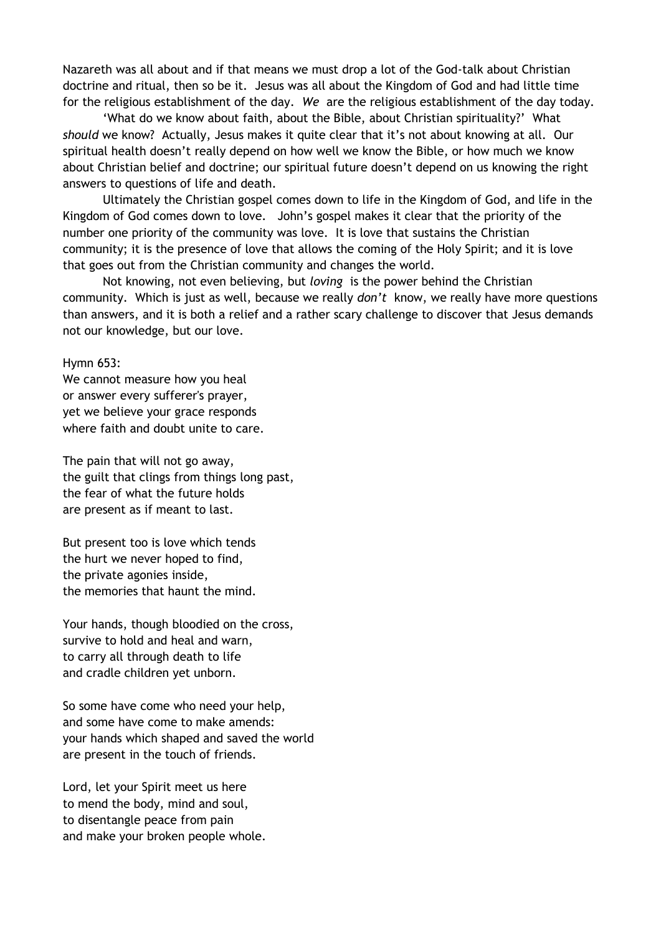Nazareth was all about and if that means we must drop a lot of the God-talk about Christian doctrine and ritual, then so be it. Jesus was all about the Kingdom of God and had little time for the religious establishment of the day. *We* are the religious establishment of the day today.

'What do we know about faith, about the Bible, about Christian spirituality?' What *should* we know? Actually, Jesus makes it quite clear that it's not about knowing at all. Our spiritual health doesn't really depend on how well we know the Bible, or how much we know about Christian belief and doctrine; our spiritual future doesn't depend on us knowing the right answers to questions of life and death.

Ultimately the Christian gospel comes down to life in the Kingdom of God, and life in the Kingdom of God comes down to love. John's gospel makes it clear that the priority of the number one priority of the community was love. It is love that sustains the Christian community; it is the presence of love that allows the coming of the Holy Spirit; and it is love that goes out from the Christian community and changes the world.

Not knowing, not even believing, but *loving* is the power behind the Christian community. Which is just as well, because we really *don't* know, we really have more questions than answers, and it is both a relief and a rather scary challenge to discover that Jesus demands not our knowledge, but our love.

Hymn 653:

We cannot measure how you heal or answer every sufferer's prayer, yet we believe your grace responds where faith and doubt unite to care.

The pain that will not go away, the guilt that clings from things long past, the fear of what the future holds are present as if meant to last.

But present too is love which tends the hurt we never hoped to find, the private agonies inside, the memories that haunt the mind.

Your hands, though bloodied on the cross, survive to hold and heal and warn, to carry all through death to life and cradle children yet unborn.

So some have come who need your help, and some have come to make amends: your hands which shaped and saved the world are present in the touch of friends.

Lord, let your Spirit meet us here to mend the body, mind and soul, to disentangle peace from pain and make your broken people whole.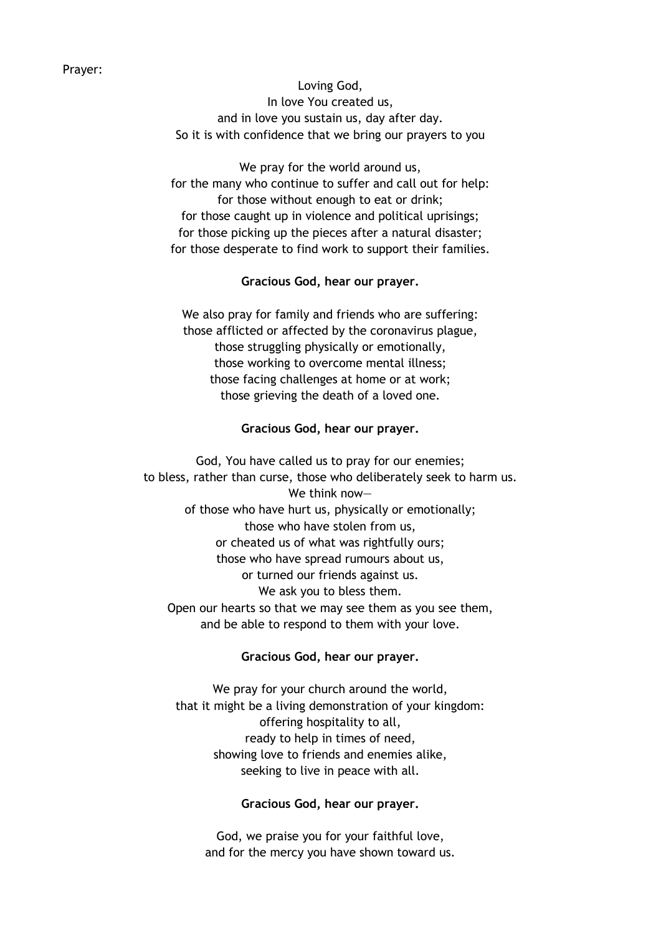Loving God, In love You created us, and in love you sustain us, day after day. So it is with confidence that we bring our prayers to you

We pray for the world around us, for the many who continue to suffer and call out for help: for those without enough to eat or drink; for those caught up in violence and political uprisings; for those picking up the pieces after a natural disaster; for those desperate to find work to support their families.

### **Gracious God, hear our prayer.**

We also pray for family and friends who are suffering: those afflicted or affected by the coronavirus plague, those struggling physically or emotionally, those working to overcome mental illness; those facing challenges at home or at work; those grieving the death of a loved one.

#### **Gracious God, hear our prayer.**

God, You have called us to pray for our enemies; to bless, rather than curse, those who deliberately seek to harm us. We think now of those who have hurt us, physically or emotionally; those who have stolen from us, or cheated us of what was rightfully ours; those who have spread rumours about us, or turned our friends against us. We ask you to bless them. Open our hearts so that we may see them as you see them, and be able to respond to them with your love.

### **Gracious God, hear our prayer.**

We pray for your church around the world, that it might be a living demonstration of your kingdom: offering hospitality to all, ready to help in times of need, showing love to friends and enemies alike, seeking to live in peace with all.

**Gracious God, hear our prayer.**

God, we praise you for your faithful love, and for the mercy you have shown toward us.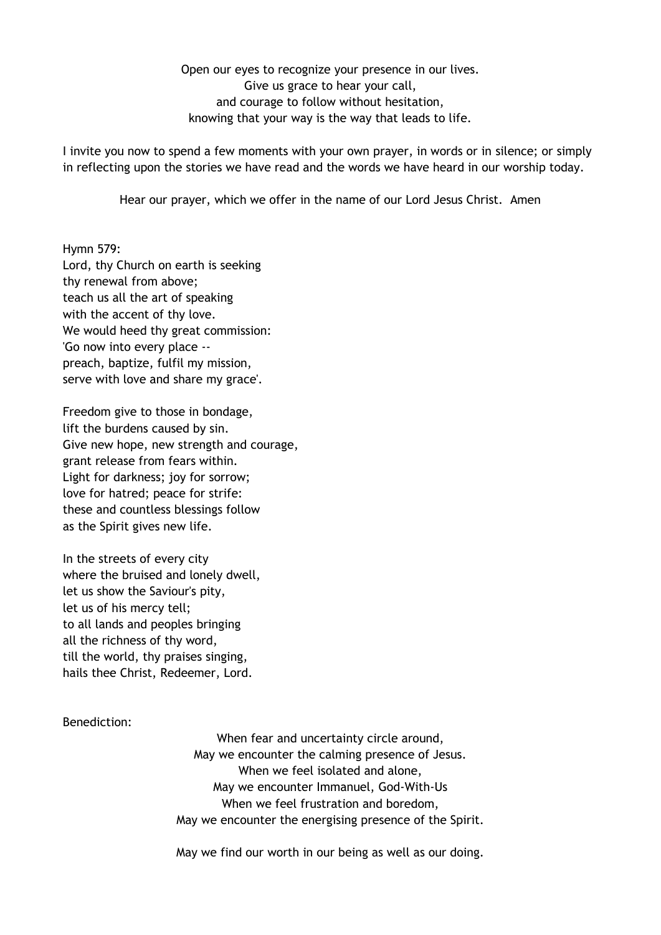Open our eyes to recognize your presence in our lives. Give us grace to hear your call, and courage to follow without hesitation, knowing that your way is the way that leads to life.

I invite you now to spend a few moments with your own prayer, in words or in silence; or simply in reflecting upon the stories we have read and the words we have heard in our worship today.

Hear our prayer, which we offer in the name of our Lord Jesus Christ. Amen

Hymn 579: Lord, thy Church on earth is seeking thy renewal from above; teach us all the art of speaking with the accent of thy love. We would heed thy great commission: 'Go now into every place - preach, baptize, fulfil my mission, serve with love and share my grace'.

Freedom give to those in bondage, lift the burdens caused by sin. Give new hope, new strength and courage, grant release from fears within. Light for darkness; joy for sorrow; love for hatred; peace for strife: these and countless blessings follow as the Spirit gives new life.

In the streets of every city where the bruised and lonely dwell, let us show the Saviour's pity, let us of his mercy tell; to all lands and peoples bringing all the richness of thy word, till the world, thy praises singing, hails thee Christ, Redeemer, Lord.

Benediction:

When fear and uncertainty circle around, May we encounter the calming presence of Jesus. When we feel isolated and alone, May we encounter Immanuel, God-With-Us When we feel frustration and boredom, May we encounter the energising presence of the Spirit.

May we find our worth in our being as well as our doing.